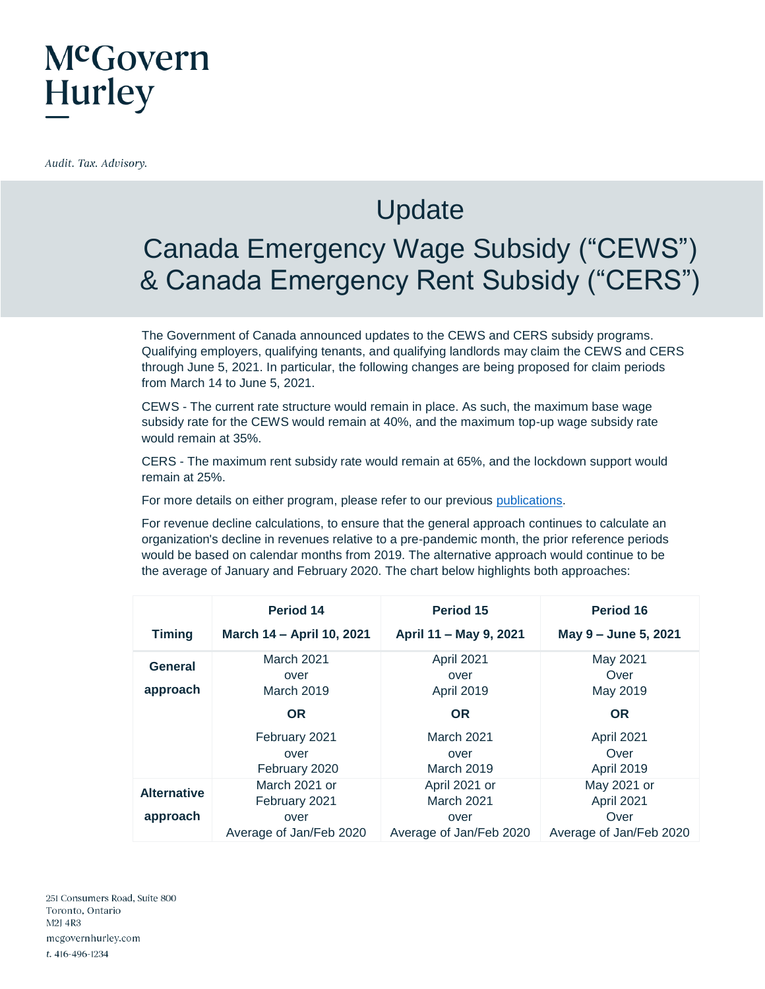## McGovern **Hurley**

Audit. Tax. Advisory.

### **Update**

#### Canada Emergency Wage Subsidy ("CEWS") & Canada Emergency Rent Subsidy ("CERS")

The Government of Canada announced updates to the CEWS and CERS subsidy programs. Qualifying employers, qualifying tenants, and qualifying landlords may claim the CEWS and CERS through June 5, 2021. In particular, the following changes are being proposed for claim periods from March 14 to June 5, 2021.

CEWS - The current rate structure would remain in place. As such, the maximum base wage subsidy rate for the CEWS would remain at 40%, and the maximum top-up wage subsidy rate would remain at 35%.

CERS - The maximum rent subsidy rate would remain at 65%, and the lockdown support would remain at 25%.

For more details on either program, please refer to our previous [publications.](https://mcgovernhurley.com/covid-19-updates/)

For revenue decline calculations, to ensure that the general approach continues to calculate an organization's decline in revenues relative to a pre-pandemic month, the prior reference periods would be based on calendar months from 2019. The alternative approach would continue to be the average of January and February 2020. The chart below highlights both approaches:

|                     | Period 14                               | Period 15                        | Period 16                        |
|---------------------|-----------------------------------------|----------------------------------|----------------------------------|
| <b>Timing</b>       | March 14 - April 10, 2021               | April 11 - May 9, 2021           | May 9 - June 5, 2021             |
| General<br>approach | <b>March 2021</b><br>over<br>March 2019 | April 2021<br>over<br>April 2019 | May 2021<br>Over<br>May 2019     |
|                     | <b>OR</b>                               | <b>OR</b>                        | <b>OR</b>                        |
|                     | February 2021<br>over<br>February 2020  | March 2021<br>over<br>March 2019 | April 2021<br>Over<br>April 2019 |
| <b>Alternative</b>  | March 2021 or<br>February 2021          | April 2021 or<br>March 2021      | May 2021 or<br>April 2021        |
| approach            | over<br>Average of Jan/Feb 2020         | over<br>Average of Jan/Feb 2020  | Over<br>Average of Jan/Feb 2020  |

251 Consumers Road, Suite 800 Toronto, Ontario M2J 4R3 mcgovernhurley.com t. 416-496-1234